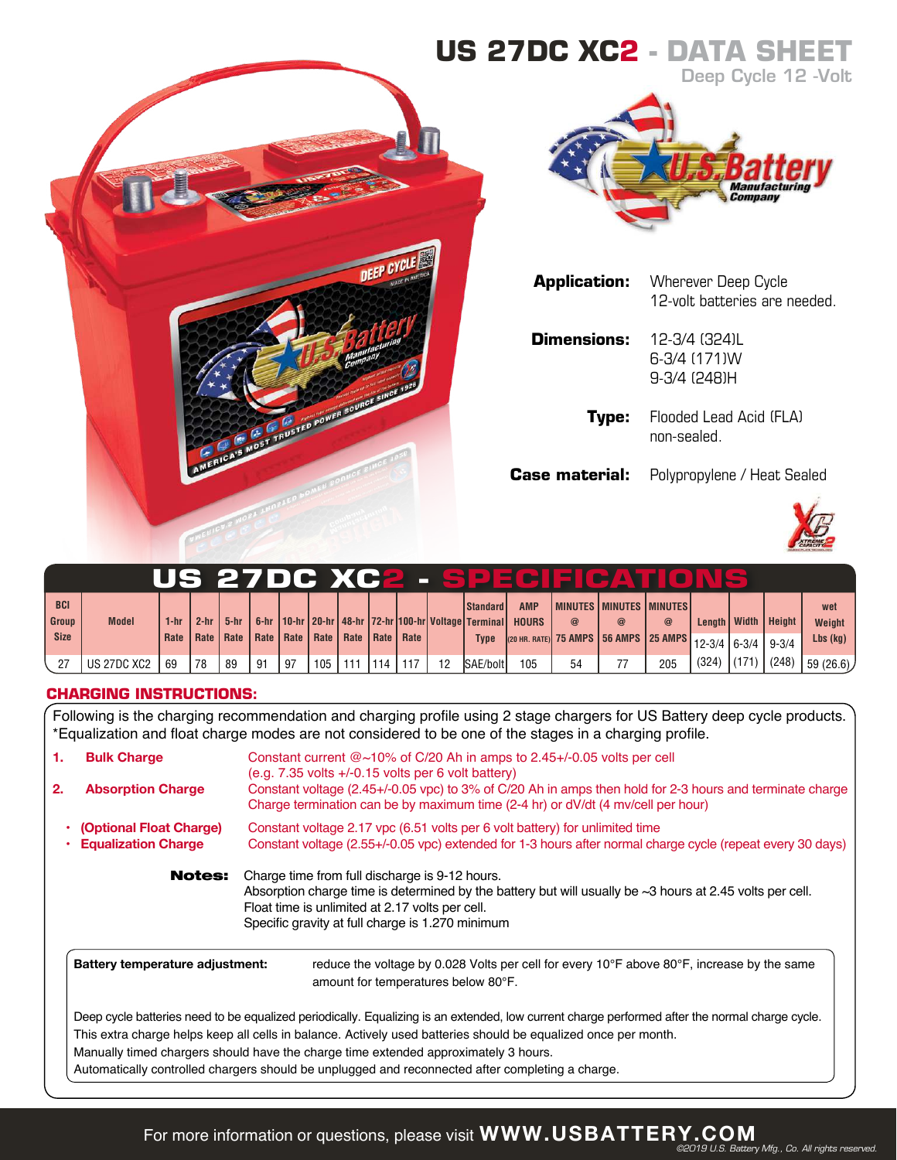# **US 27DC XC2 - DATA SHEET** Deep Cycle 12 -Volt





|                       | <b>Application:</b> Wherever Deep Cycle<br>12-volt batteries are needed. |
|-----------------------|--------------------------------------------------------------------------|
| Dimensions:           | 12-3/4 (324)L<br>6-3/4 (171)W<br>9-3/4 (248)H                            |
| Type:                 | Flooded Lead Acid (FLA)<br>non-sealed                                    |
| <b>Case material:</b> | Polypropylene / Heat Sealed                                              |



|             |              |      |        |    |    |    |                  |                                                              |  |    |                                                                                   |            |    | US 27DC XC2 - SPECIE CATIONS                       |             |       |              |               |            |
|-------------|--------------|------|--------|----|----|----|------------------|--------------------------------------------------------------|--|----|-----------------------------------------------------------------------------------|------------|----|----------------------------------------------------|-------------|-------|--------------|---------------|------------|
| <b>BCI</b>  |              |      |        |    |    |    |                  |                                                              |  |    | l Standard I                                                                      | <b>AMP</b> |    | I MINUTES I MINUTES I MINUTES I                    |             |       |              |               | wet        |
| Group       | <b>Model</b> | 1-hr | $2-hr$ |    |    |    |                  |                                                              |  |    | 5-hr   6-hr   10-hr   20-hr   48-hr   72-hr   100-hr   Voltage   Terminal   HOURS |            |    |                                                    | $\circleda$ |       | Length Width | <b>Height</b> | Weight     |
| <b>Size</b> |              |      |        |    |    |    |                  | Rate   Rate   Rate   Rate   Rate   Rate   Rate   Rate   Rate |  |    | <b>Type</b>                                                                       |            |    | (20 HR. RATE) 75 AMPS 56 AMPS 25 AMPS 12-3/4 6-3/4 |             |       |              | $9 - 3/4$     | $Lbs$ (kg) |
|             | US 27DC XC2  | -69  | 78     | 89 | 91 | 97 | 105 <sub>1</sub> | 111                                                          |  | 12 | <b>SAE/bolt</b>                                                                   | 105        | 54 |                                                    | 205         | (324) | (171)        | (248)         | (59(26.6)) |

## **CHARGING INSTRUCTIONS:**

Following is the charging recommendation and charging profile using 2 stage chargers for US Battery deep cycle products. \*Equalization and float charge modes are not considered to be one of the stages in a charging profile.

| 1. | <b>Bulk Charge</b>                                    | Constant current $@{\sim}10\%$ of C/20 Ah in amps to 2.45+/-0.05 volts per cell<br>$(e.g. 7.35$ volts $+/-0.15$ volts per 6 volt battery)                                                                                                                                                                                                                                                                                                                   |  |  |  |  |  |  |  |  |  |
|----|-------------------------------------------------------|-------------------------------------------------------------------------------------------------------------------------------------------------------------------------------------------------------------------------------------------------------------------------------------------------------------------------------------------------------------------------------------------------------------------------------------------------------------|--|--|--|--|--|--|--|--|--|
| 2. | <b>Absorption Charge</b>                              | Constant voltage (2.45+/-0.05 vpc) to 3% of C/20 Ah in amps then hold for 2-3 hours and terminate charge<br>Charge termination can be by maximum time (2-4 hr) or dV/dt (4 mv/cell per hour)                                                                                                                                                                                                                                                                |  |  |  |  |  |  |  |  |  |
|    | (Optional Float Charge)<br><b>Equalization Charge</b> | Constant voltage 2.17 ypc (6.51 volts per 6 volt battery) for unlimited time<br>Constant voltage (2.55+/-0.05 vpc) extended for 1-3 hours after normal charge cycle (repeat every 30 days)                                                                                                                                                                                                                                                                  |  |  |  |  |  |  |  |  |  |
|    | <b>Notes:</b>                                         | Charge time from full discharge is 9-12 hours.<br>Absorption charge time is determined by the battery but will usually be $\sim$ 3 hours at 2.45 volts per cell.<br>Float time is unlimited at 2.17 volts per cell.<br>Specific gravity at full charge is 1.270 minimum                                                                                                                                                                                     |  |  |  |  |  |  |  |  |  |
|    | Battery temperature adjustment:                       | reduce the voltage by 0.028 Volts per cell for every $10^{\circ}$ F above 80 $^{\circ}$ F, increase by the same<br>amount for temperatures below 80°F.                                                                                                                                                                                                                                                                                                      |  |  |  |  |  |  |  |  |  |
|    |                                                       | Deep cycle batteries need to be equalized periodically. Equalizing is an extended, low current charge performed after the normal charge cycle.<br>This extra charge helps keep all cells in balance. Actively used batteries should be equalized once per month.<br>Manually timed chargers should have the charge time extended approximately 3 hours.<br>Automatically controlled chargers should be unplugged and reconnected after completing a charge. |  |  |  |  |  |  |  |  |  |